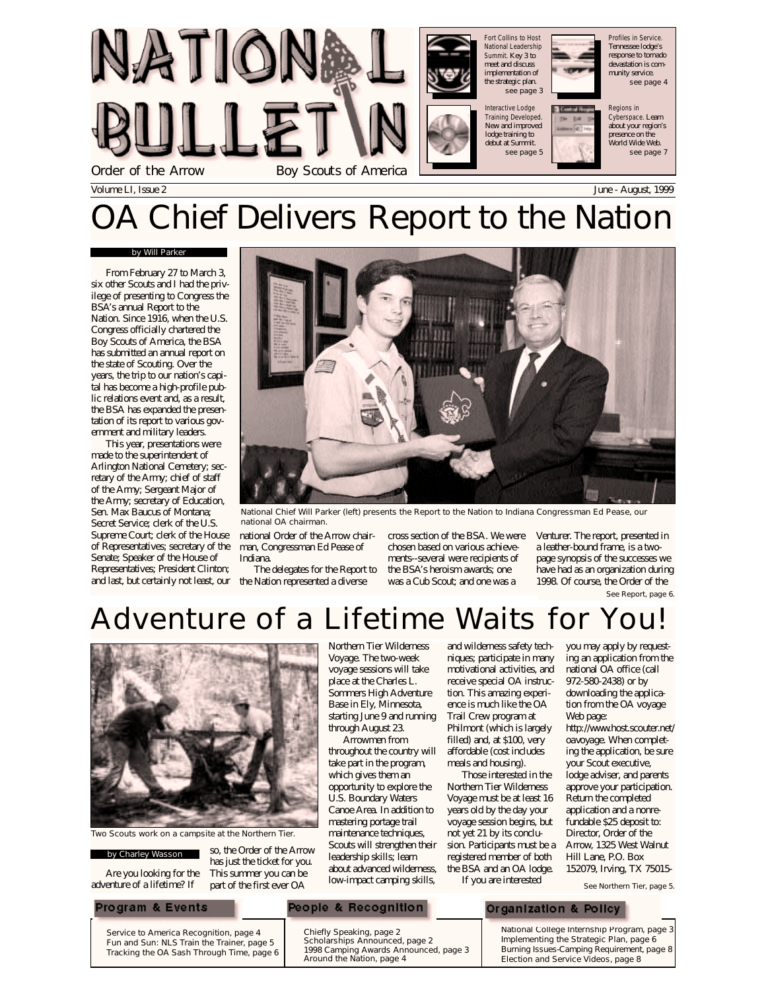

# Chief Delivers Report to the Nation

#### by Will Parker

From February 27 to March 3, six other Scouts and I had the privilege of presenting to Congress the BSA's annual Report to the Nation. Since 1916, when the U.S. Congress officially chartered the Boy Scouts of America, the BSA has submitted an annual report on the state of Scouting. Over the years, the trip to our nation's capital has become a high-profile public relations event and, as a result, the BSA has expanded the presentation of its report to various government and military leaders.

This year, presentations were made to the superintendent of Arlington National Cemetery; secretary of the Army; chief of staff of the Army; Sergeant Major of the Army; secretary of Education, Sen. Max Baucus of Montana; Secret Service; clerk of the U.S. Supreme Court; clerk of the House of Representatives; secretary of the Senate; Speaker of the House of Representatives; President Clinton; and last, but certainly not least, our



National Chief Will Parker (left) presents the Report to the Nation to Indiana Congressman Ed Pease, our national OA chairman.

national Order of the Arrow chairman, Congressman Ed Pease of Indiana.

The delegates for the Report to the Nation represented a diverse

cross section of the BSA. We were chosen based on various achievements--several were recipients of the BSA's heroism awards; one was a Cub Scout; and one was a

Venturer. The report, presented in a leather-bound frame, is a twopage synopsis of the successes we have had as an organization during 1998. Of course, the Order of the

See Report, page 6.





Two Scouts work on a campsite at the Northern Tier.

#### by Charley Wasson

Are you looking for the adventure of a lifetime? If

so, the Order of the Arrow has just the ticket for you. This summer you can be part of the first ever OA

Northern Tier Wilderness Voyage. The two-week voyage sessions will take place at the Charles L. Sommers High Adventure Base in Ely, Minnesota, starting June 9 and running through August 23.

Arrowmen from throughout the country will take part in the program, which gives them an opportunity to explore the U.S. Boundary Waters Canoe Area. In addition to mastering portage trail maintenance techniques, Scouts will strengthen their leadership skills; learn about advanced wilderness, low-impact camping skills,

and wilderness safety techniques; participate in many motivational activities, and receive special OA instruction. This amazing experience is much like the OA Trail Crew program at Philmont (which is largely filled) and, at \$100, very affordable (cost includes meals and housing).

Those interested in the Northern Tier Wilderness Voyage must be at least 16 years old by the day your voyage session begins, but not yet 21 by its conclusion. Participants must be a registered member of both the BSA and an OA lodge. If you are interested

you may apply by requesting an application from the national OA office (call 972-580-2438) or by downloading the application from the OA voyage Web page: http://www.host.scouter.net/

oavoyage. When completing the application, be sure your Scout executive, lodge adviser, and parents approve your participation. Return the completed application and a nonrefundable \$25 deposit to: Director, Order of the Arrow, 1325 West Walnut Hill Lane, P.O. Box 152079, Irving, TX 75015-

See Northern Tier, page 5.

### Program & Events

Service to America Recognition, page 4 Fun and Sun: NLS Train the Trainer, page 5 Tracking the OA Sash Through Time, page 6

### People & Recognition

Chiefly Speaking, page 2 Scholarships Announced, page 2 1998 Camping Awards Announced, page 3 Around the Nation, page 4

Organization & Policy

National College Internship Program, page 3 Implementing the Strategic Plan, page 6 Burning Issues-Camping Requirement, page 8 Election and Service Videos, page 8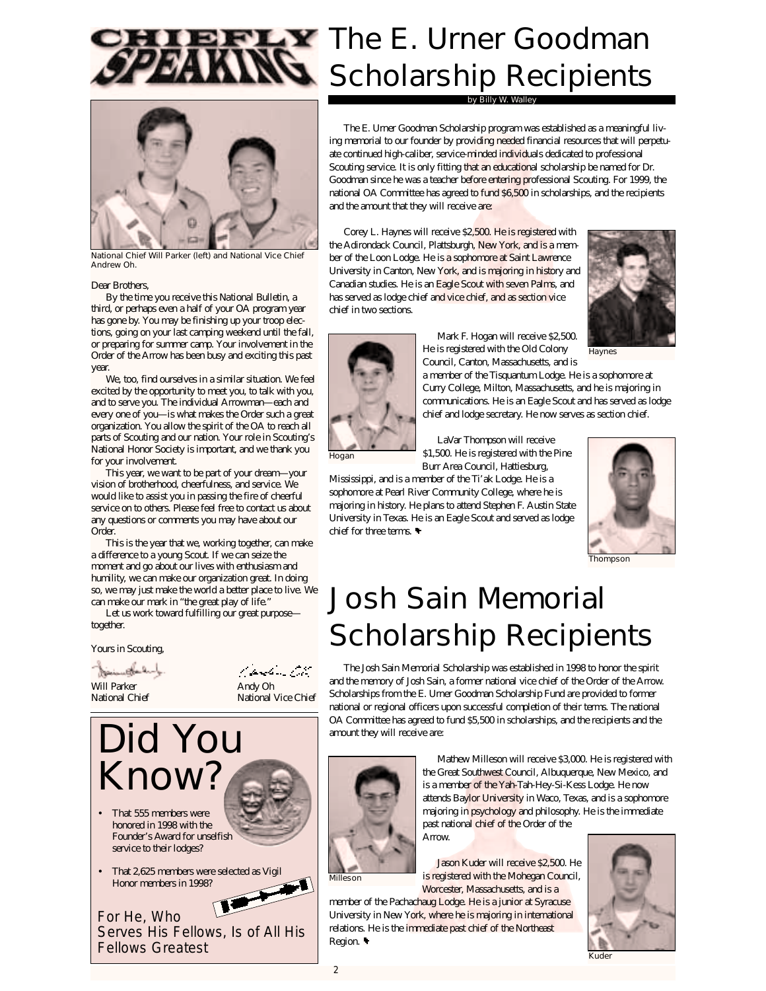



National Chief Will Parker (left) and National Vice Chief Andrew Oh.

#### Dear Brothers,

By the time you receive this National Bulletin, a third, or perhaps even a half of your OA program year has gone by. You may be finishing up your troop elections, going on your last camping weekend until the fall, or preparing for summer camp. Your involvement in the Order of the Arrow has been busy and exciting this past year.

We, too, find ourselves in a similar situation. We feel excited by the opportunity to meet you, to talk with you, and to serve you. The individual Arrowman—each and every one of you—is what makes the Order such a great organization. You allow the spirit of the OA to reach all parts of Scouting and our nation. Your role in Scouting's National Honor Society is important, and we thank you for your involvement.

This year, we want to be part of your dream—your vision of brotherhood, cheerfulness, and service. We would like to assist you in passing the fire of cheerful service on to others. Please feel free to contact us about any questions or comments you may have about our Order.

This is the year that we, working together, can make a difference to a young Scout. If we can seize the moment and go about our lives with enthusiasm and humility, we can make our organization great. In doing so, we may just make the world a better place to live. We can make our mark in "the great play of life."

Let us work toward fulfilling our great purpose together.

Yours in Scouting,

بالمسابقين

Will Parker **Andy Oh**<br>
National Chief **Andy Oh**<br>
National National N

t, parti de Cito National Vice Chief



- That 555 members were honored in 1998 with the Founder's Award for unselfish service to their lodges?
- That 2,625 members were selected as Vigil Honor members in 1998?

For He, Who Serves His Fellows, Is of All His Fellows Greatest

# **LY** The E. Urner Goodman Scholarship Recipients

by Billy W. Walley

The E. Urner Goodman Scholarship program was established as a meaningful living memorial to our founder by providing needed financial resources that will perpetuate continued high-caliber, service-minded individuals dedicated to professional Scouting service. It is only fitting that an educational scholarship be named for Dr. Goodman since he was a teacher before entering professional Scouting. For 1999, the national OA Committee has agreed to fund \$6,500 in scholarships, and the recipients and the amount that they will receive are:

Corey L. Haynes will receive \$2,500. He is registered with the Adirondack Council, Plattsburgh, New York, and is a member of the Loon Lodge. He is a sophomore at Saint Lawrence University in Canton, New York, and is majoring in history and Canadian studies. He is an Eagle Scout with seven Palms, and has served as lodge chief and vice chief, and as section vice chief in two sections.



Hogan

Mark F. Hogan will receive \$2,500. He is registered with the Old Colony Council, Canton, Massachusetts, and is

a member of the Tisquantum Lodge. He is a sophomore at Curry College, Milton, Massachusetts, and he is majoring in communications. He is an Eagle Scout and has served as lodge chief and lodge secretary. He now serves as section chief.

LaVar Thompson will receive \$1,500. He is registered with the Pine Burr Area Council, Hattiesburg,

Mississippi, and is a member of the Ti'ak Lodge. He is a sophomore at Pearl River Community College, where he is majoring in history. He plans to attend Stephen F. Austin State University in Texas. He is an Eagle Scout and served as lodge chief for three terms.



Thompson

# Josh Sain Memorial Scholarship Recipients

The Josh Sain Memorial Scholarship was established in 1998 to honor the spirit and the memory of Josh Sain, a former national vice chief of the Order of the Arrow. Scholarships from the E. Urner Goodman Scholarship Fund are provided to former national or regional officers upon successful completion of their terms. The national OA Committee has agreed to fund \$5,500 in scholarships, and the recipients and the amount they will receive are:



Mathew Milleson will receive \$3,000. He is registered with the Great Southwest Council, Albuquerque, New Mexico, and is a member of the Yah-Tah-Hey-Si-Kess Lodge. He now attends Baylor University in Waco, Texas, and is a sophomore majoring in psychology and philosophy. He is the immediate past national chief of the Order of the **Arrow** 

Milleson

Jason Kuder will receive \$2,500. He is registered with the Mohegan Council, Worcester, Massachusetts, and is a

member of the Pachachaug Lodge. He is a junior at Syracuse University in New York, where he is majoring in international relations. He is the immediate past chief of the Northeast Region.



Kuder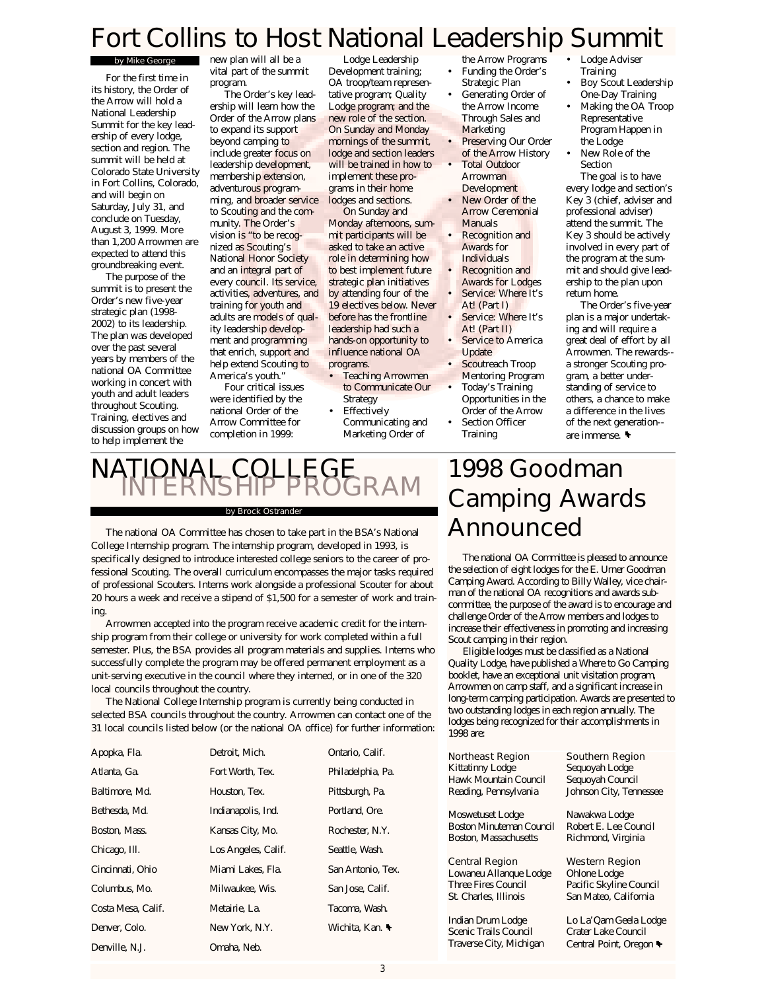# Fort Collins to Host National Leadership Summit

#### by Mike George

For the first time in its history, the Order of the Arrow will hold a National Leadership Summit for the key leadership of every lodge, section and region. The summit will be held at Colorado State University in Fort Collins, Colorado, and will begin on Saturday, July 31, and conclude on Tuesday, August 3, 1999. More than 1,200 Arrowmen are expected to attend this groundbreaking event.

The purpose of the summit is to present the Order's new five-year strategic plan (1998- 2002) to its leadership. The plan was developed over the past several years by members of the national OA Committee working in concert with youth and adult leaders throughout Scouting. Training, electives and discussion groups on how to help implement the

new plan will all be a vital part of the summit program.

The Order's key leadership will learn how the Order of the Arrow plans to expand its support beyond camping to include greater focus on leadership development, membership extension, adventurous programming, and broader service to Scouting and the community. The Order's vision is "to be recognized as Scouting's National Honor Society and an integral part of every council. Its service. activities, adventures, and training for youth and adults are models of quality leadership development and programming that enrich, support and help extend Scouting to America's youth."

Four critical issues were identified by the national Order of the Arrow Committee for completion in 1999:

Lodge Leadership Development training; OA troop/team representative program; Quality Lodge program; and the new role of the section. On Sunday and Monday mornings of the summit, lodge and section leaders will be trained in how to implement these programs in their home lodges and sections.

On Sunday and Monday afternoons, summit participants will be asked to take an active role in determining how to best implement future strategic plan initiatives by attending four of the 19 electives below. Never before has the frontline leadership had such a hands-on opportunity to influence national OA programs.

- Teaching Arrowmen to Communicate Our Strategy **Effectively**
- Communicating and Marketing Order of
- the Arrow Programs • Funding the Order's
- Strategic Plan Generating Order of the Arrow Income Through Sales and
- **Marketing** Preserving Our Order of the Arrow History
- **Total Outdoor** Arrowman Development
- New Order of the Arrow Ceremonial Manuals
- Recognition and Awards for Individuals
- Recognition and Awards for Lodges Service: Where It's
- At! (Part I) Service: Where It's
- At! (Part II) Service to America
- Update
- Scoutreach Troop Mentoring Program
- Today's Training Opportunities in the Order of the Arrow Section Officer
- Training
- Lodge Adviser Training
- Boy Scout Leadership One-Day Training
- Making the OA Troop Representative Program Happen in the Lodge
- New Role of the Section

The goal is to have every lodge and section's Key 3 (chief, adviser and professional adviser) attend the summit. The Key 3 should be actively involved in every part of the program at the summit and should give leadership to the plan upon return home.

The Order's five-year plan is a major undertaking and will require a great deal of effort by all Arrowmen. The rewards- a stronger Scouting program, a better understanding of service to others, a chance to make a difference in the lives of the next generation- are immense.

# NATIONAL COLLEGE<br>INTERNSHIP PROGRAM

#### by Brock Ostrander

The national OA Committee has chosen to take part in the BSA's National College Internship program. The internship program, developed in 1993, is specifically designed to introduce interested college seniors to the career of professional Scouting. The overall curriculum encompasses the major tasks required of professional Scouters. Interns work alongside a professional Scouter for about 20 hours a week and receive a stipend of \$1,500 for a semester of work and training.

Arrowmen accepted into the program receive academic credit for the internship program from their college or university for work completed within a full semester. Plus, the BSA provides all program materials and supplies. Interns who successfully complete the program may be offered permanent employment as a unit-serving executive in the council where they interned, or in one of the 320 local councils throughout the country.

The National College Internship program is currently being conducted in selected BSA councils throughout the country. Arrowmen can contact one of the 31 local councils listed below (or the national OA office) for further information:

| Apopka, Fla.       | Detroit, Mich.      | Ontario, Calif.   |
|--------------------|---------------------|-------------------|
| Atlanta, Ga.       | Fort Worth, Tex.    | Philadelphia, Pa. |
| Baltimore, Md.     | Houston, Tex.       | Pittsburgh, Pa.   |
| Bethesda, Md.      | Indianapolis, Ind.  | Portland, Ore.    |
| Boston, Mass.      | Kansas City, Mo.    | Rochester, N.Y.   |
| Chicago, III.      | Los Angeles, Calif. | Seattle, Wash.    |
| Cincinnati, Ohio   | Miami Lakes, Fla.   | San Antonio, Tex. |
| Columbus, Mo.      | Milwaukee, Wis.     | San Jose, Calif.  |
| Costa Mesa, Calif. | Metairie, La.       | Tacoma, Wash.     |
| Denver, Colo.      | New York, N.Y.      | Wichita, Kan.     |
| Denville. N.J.     | Omaha, Neb.         |                   |

# 1998 Goodman Camping Awards Announced

The national OA Committee is pleased to announce the selection of eight lodges for the E. Urner Goodman Camping Award. According to Billy Walley, vice chairman of the national OA recognitions and awards subcommittee, the purpose of the award is to encourage and challenge Order of the Arrow members and lodges to increase their effectiveness in promoting and increasing Scout camping in their region.

Eligible lodges must be classified as a National Quality Lodge, have published a Where to Go Camping booklet, have an exceptional unit visitation program, Arrowmen on camp staff, and a significant increase in long-term camping participation. Awards are presented to two outstanding lodges in each region annually. The lodges being recognized for their accomplishments in 1998 are:

| Northeast Region                | Southern Region         |
|---------------------------------|-------------------------|
| Kittatinny Lodge                | Sequoyah Lodge          |
| Hawk Mountain Council           | Sequoyah Council        |
| Reading, Pennsylvania           | Johnson City, Tennessee |
| Moswetuset Lodge                | Nawakwa Lodge           |
| <b>Boston Minuteman Council</b> | Robert E. Lee Council   |
| Boston, Massachusetts           | Richmond, Virginia      |
| Central Region                  | Western Region          |
| Lowaneu Allanque Lodge          | Ohlone Lodge            |
| <b>Three Fires Council</b>      | Pacific Skyline Council |
| St. Charles. Illinois           | San Mateo, California   |
| Indian Drum Lodge               | Lo La'Qam Geela Lodge   |

Scenic Trails Council Traverse City, Michigan Crater Lake Council Central Point, Oregon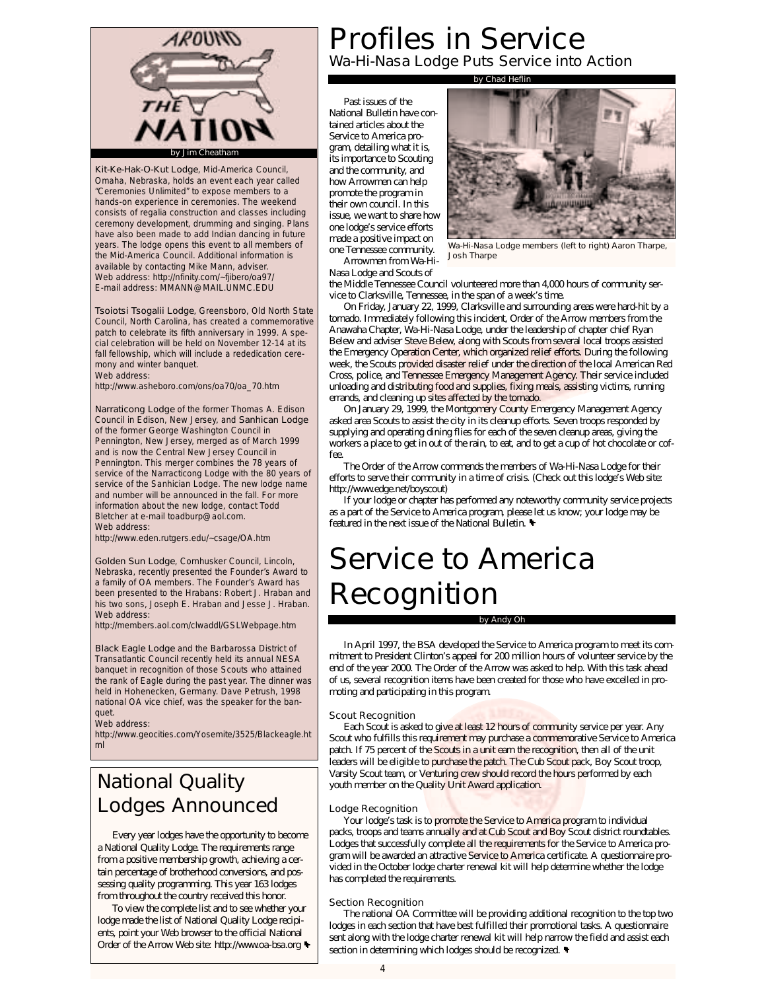

Kit-Ke-Hak-O-Kut Lodge, Mid-America Council, Omaha, Nebraska, holds an event each year called "Ceremonies Unlimited" to expose members to a hands-on experience in ceremonies. The weekend consists of regalia construction and classes including ceremony development, drumming and singing. Plans have also been made to add Indian dancing in future years. The lodge opens this event to all members of the Mid-America Council. Additional information is available by contacting Mike Mann, adviser. Web address: http://nfinity.com/~fjibero/oa97/ E-mail address: MMANN@MAIL.UNMC.EDU

Tsoiotsi Tsogalii Lodge, Greensboro, Old North State Council, North Carolina, has created a commemorative patch to celebrate its fifth anniversary in 1999. A special celebration will be held on November 12-14 at its fall fellowship, which will include a rededication ceremony and winter banquet. Web address:

http://www.asheboro.com/ons/oa70/oa\_70.htm

Narraticong Lodge of the former Thomas A. Edison Council in Edison, New Jersey, and Sanhican Lodge of the former George Washington Council in Pennington, New Jersey, merged as of March 1999 and is now the Central New Jersey Council in Pennington. This merger combines the 78 years of service of the Narracticong Lodge with the 80 years of service of the Sanhician Lodge. The new lodge name and number will be announced in the fall. For more information about the new lodge, contact Todd Bletcher at e-mail toadburp@aol.com. Web address:

http://www.eden.rutgers.edu/~csage/OA.htm

Golden Sun Lodge, Cornhusker Council, Lincoln, Nebraska, recently presented the Founder's Award to a family of OA members. The Founder's Award has been presented to the Hrabans: Robert J. Hraban and his two sons, Joseph E. Hraban and Jesse J. Hraban. Web address:

http://members.aol.com/clwaddl/GSLWebpage.htm

Black Eagle Lodge and the Barbarossa District of Transatlantic Council recently held its annual NESA banquet in recognition of those Scouts who attained the rank of Eagle during the past year. The dinner was held in Hohenecken, Germany. Dave Petrush, 1998 national OA vice chief, was the speaker for the banquet.

Web address:

http://www.geocities.com/Yosemite/3525/Blackeagle.ht ml

## National Quality Lodges Announced

Every year lodges have the opportunity to become a National Quality Lodge. The requirements range from a positive membership growth, achieving a certain percentage of brotherhood conversions, and possessing quality programming. This year 163 lodges from throughout the country received this honor.

To view the complete list and to see whether your lodge made the list of National Quality Lodge recipients, point your Web browser to the official National Order of the Arrow Web site: http://www.oa-bsa.org

# Profiles in Service

Wa-Hi-Nasa Lodge Puts Service into Action

by Chad Heflir

Past issues of the National Bulletin have contained articles about the Service to America program, detailing what it is, its importance to Scouting and the community, and how Arrowmen can help promote the program in their own council. In this issue, we want to share how one lodge's service efforts made a positive impact on one Tennessee community.

Arrowmen from Wa-Hi-

Nasa Lodge and Scouts of

the Middle Tennessee Council volunteered more than 4,000 hours of community service to Clarksville, Tennessee, in the span of a week's time.

Josh Tharpe

On Friday, January 22, 1999, Clarksville and surrounding areas were hard-hit by a tornado. Immediately following this incident, Order of the Arrow members from the Anawaha Chapter, Wa-Hi-Nasa Lodge, under the leadership of chapter chief Ryan Belew and adviser Steve Belew, along with Scouts from several local troops assisted the Emergency Operation Center, which organized relief efforts. During the following week, the Scouts provided disaster relief under the direction of the local American Red Cross, police, and Tennessee Emergency Management Agency. Their service included unloading and distributing food and supplies, fixing meals, assisting victims, running errands, and cleaning up sites affected by the tornado.

On January 29, 1999, the Montgomery County Emergency Management Agency asked area Scouts to assist the city in its cleanup efforts. Seven troops responded by supplying and operating dining flies for each of the seven cleanup areas, giving the workers a place to get in out of the rain, to eat, and to get a cup of hot chocolate or coffee

The Order of the Arrow commends the members of Wa-Hi-Nasa Lodge for their efforts to serve their community in a time of crisis. (Check out this lodge's Web site: http://www.edge.net/boyscout)

If your lodge or chapter has performed any noteworthy community service projects as a part of the Service to America program, please let us know; your lodge may be featured in the next issue of the National Bulletin.

# Service to America Recognition

by Andy Oh

In April 1997, the BSA developed the Service to America program to meet its commitment to President Clinton's appeal for 200 million hours of volunteer service by the end of the year 2000. The Order of the Arrow was asked to help. With this task ahead of us, several recognition items have been created for those who have excelled in promoting and participating in this program.

#### Scout Recognition

Each Scout is asked to give at least 12 hours of community service per year. Any Scout who fulfills this requirement may purchase a commemorative Service to America patch. If 75 percent of the Scouts in a unit earn the recognition, then all of the unit leaders will be eligible to purchase the patch. The Cub Scout pack, Boy Scout troop, Varsity Scout team, or Venturing crew should record the hours performed by each youth member on the Quality Unit Award application.

#### Lodge Recognition

Your lodge's task is to promote the Service to America program to individual packs, troops and teams annually and at Cub Scout and Boy Scout district roundtables. Lodges that successfully complete all the requirements for the Service to America program will be awarded an attractive Service to America certificate. A questionnaire provided in the October lodge charter renewal kit will help determine whether the lodge has completed the requirements.

#### Section Recognition

The national OA Committee will be providing additional recognition to the top two lodges in each section that have best fulfilled their promotional tasks. A questionnaire sent along with the lodge charter renewal kit will help narrow the field and assist each section in determining which lodges should be recognized.

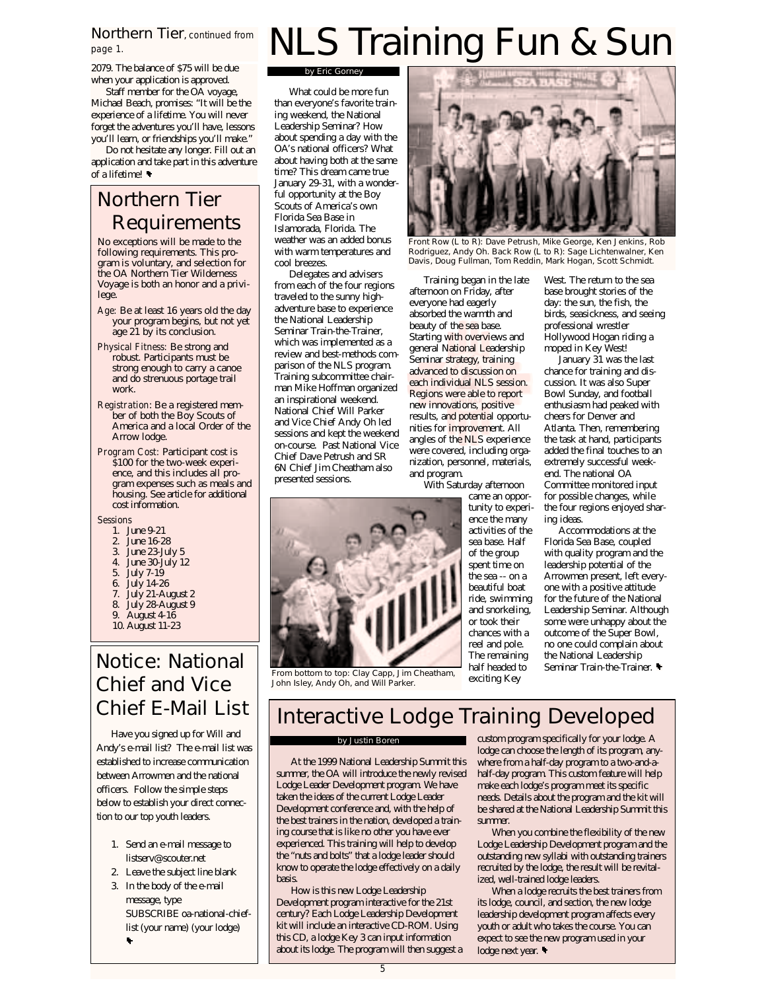## Northern Tier, continued from page 1.

2079. The balance of \$75 will be due when your application is approved.

Staff member for the OA voyage, Michael Beach, promises: "It will be the experience of a lifetime. You will never forget the adventures you'll have, lessons you'll learn, or friendships you'll make."

Do not hesitate any longer. Fill out an application and take part in this adventure of a lifetime!

## Northern Tier Requirements

No exceptions will be made to the following requirements. This program is voluntary, and selection for the OA Northern Tier Wilderness Voyage is both an honor and a privilege.

- Age: Be at least 16 years old the day your program begins, but not yet age 21 by its conclusion.
- Physical Fitness: Be strong and robust. Participants must be strong enough to carry a canoe and do strenuous portage trail work.
- Registration: Be a registered member of both the Boy Scouts of America and a local Order of the Arrow lodge.
- Program Cost: Participant cost is \$100 for the two-week experience, and this includes all program expenses such as meals and housing. See article for additional cost information.

**Sessions** 

- 1. June 9-21
- 2. June 16-28
- 3. June 23-July 5
- 4. June 30-July 12
- 5. July 7-19
- 6. July 14-26
- July 21-August 2 8. July 28-August 9
- 9. August 4-16
- 10. August 11-23

## Notice: National Chief and Vice Chief E-Mail List

Have you signed up for Will and Andy's e-mail list? The e-mail list was established to increase communication between Arrowmen and the national officers. Follow the simple steps below to establish your direct connection to our top youth leaders.

- 1. Send an e-mail message to listserv@scouter.net
- 2. Leave the subject line blank
- 3. In the body of the e-mail message, type SUBSCRIBE oa-national-chieflist (your name) (your lodge)

# NLS Training Fun & Sun

by Eric Gorney

What could be more fun than everyone's favorite training weekend, the National Leadership Seminar? How about spending a day with the OA's national officers? What about having both at the same time? This dream came true January 29-31, with a wonderful opportunity at the Boy Scouts of America's own Florida Sea Base in Islamorada, Florida. The weather was an added bonus with warm temperatures and cool breezes.

Delegates and advisers from each of the four regions traveled to the sunny highadventure base to experience the National Leadership Seminar Train-the-Trainer, which was implemented as a review and best-methods comparison of the NLS program. Training subcommittee chairman Mike Hoffman organized an inspirational weekend. National Chief Will Parker and Vice Chief Andy Oh led sessions and kept the weekend on-course. Past National Vice Chief Dave Petrush and SR 6N Chief Jim Cheatham also presented sessions.

Training began in the late afternoon on Friday, after everyone had eagerly absorbed the warmth and beauty of the sea base. Starting with overviews and general National Leadership Seminar strategy, training advanced to discussion on each individual NLS session. Regions were able to report new innovations, positive results, and potential opportunities for improvement. All angles of the NLS experience were covered, including organization, personnel, materials, and program.

With Saturday afternoon came an opportunity to experience the many activities of the sea base. Half of the group spent time on the sea -- on a beautiful boat ride, swimming and snorkeling, or took their chances with a reel and pole. The remaining half headed to exciting Key

West. The return to the sea base brought stories of the day: the sun, the fish, the birds, seasickness, and seeing professional wrestler Hollywood Hogan riding a moped in Key West!

Front Row (L to R): Dave Petrush, Mike George, Ken Jenkins, Rob Rodriguez, Andy Oh. Back Row (L to R): Sage Lichtenwalner, Ken Davis, Doug Fullman, Tom Reddin, Mark Hogan, Scott Schmidt.

> January 31 was the last chance for training and discussion. It was also Super Bowl Sunday, and football enthusiasm had peaked with cheers for Denver and Atlanta. Then, remembering the task at hand, participants added the final touches to an extremely successful weekend. The national OA Committee monitored input for possible changes, while the four regions enjoyed sharing ideas.

Accommodations at the Florida Sea Base, coupled with quality program and the leadership potential of the Arrowmen present, left everyone with a positive attitude for the future of the National Leadership Seminar. Although some were unhappy about the outcome of the Super Bowl, no one could complain about the National Leadership Seminar Train-the-Trainer.



From bottom to top: Clay Capp, Jim Cheatham, John Isley, Andy Oh, and Will Parker.

# Interactive Lodge Training Developed

#### by Justin Boren

At the 1999 National Leadership Summit this summer, the OA will introduce the newly revised Lodge Leader Development program. We have taken the ideas of the current Lodge Leader Development conference and, with the help of the best trainers in the nation, developed a training course that is like no other you have ever experienced. This training will help to develop the "nuts and bolts" that a lodge leader should know to operate the lodge effectively on a daily basis.

How is this new Lodge Leadership Development program interactive for the 21st century? Each Lodge Leadership Development kit will include an interactive CD-ROM. Using this CD, a lodge Key 3 can input information about its lodge. The program will then suggest a custom program specifically for your lodge. A lodge can choose the length of its program, anywhere from a half-day program to a two-and-ahalf-day program. This custom feature will help make each lodge's program meet its specific needs. Details about the program and the kit will be shared at the National Leadership Summit this summer.

When you combine the flexibility of the new Lodge Leadership Development program and the outstanding new syllabi with outstanding trainers recruited by the lodge, the result will be revitalized, well-trained lodge leaders.

When a lodge recruits the best trainers from its lodge, council, and section, the new lodge leadership development program affects every youth or adult who takes the course. You can expect to see the new program used in your lodge next year.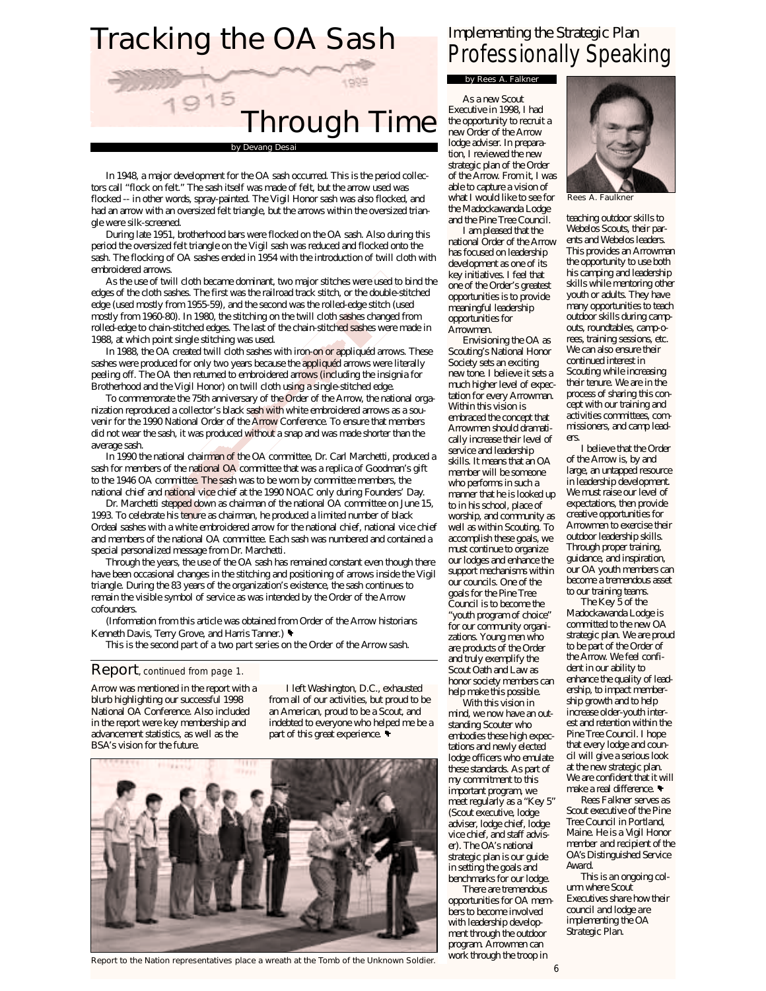# Tracking the OA Sash



In 1948, a major development for the OA sash occurred. This is the period collectors call "flock on felt." The sash itself was made of felt, but the arrow used was flocked -- in other words, spray-painted. The Vigil Honor sash was also flocked, and had an arrow with an oversized felt triangle, but the arrows within the oversized triangle were silk-screened.

During late 1951, brotherhood bars were flocked on the OA sash. Also during this period the oversized felt triangle on the Vigil sash was reduced and flocked onto the sash. The flocking of OA sashes ended in 1954 with the introduction of twill cloth with embroidered arrows.

As the use of twill cloth became dominant, two major stitches were used to bind the edges of the cloth sashes. The first was the railroad track stitch, or the double-stitched edge (used mostly from 1955-59), and the second was the rolled-edge stitch (used mostly from 1960-80). In 1980, the stitching on the twill cloth sashes changed from rolled-edge to chain-stitched edges. The last of the chain-stitched sashes were made in 1988, at which point single stitching was used.

In 1988, the OA created twill cloth sashes with iron-on or appliquéd arrows. These sashes were produced for only two years because the appliquéd arrows were literally peeling off. The OA then returned to embroidered arrows (including the insignia for Brotherhood and the Vigil Honor) on twill cloth using a single-stitched edge.

To commemorate the 75th anniversary of the Order of the Arrow, the national organization reproduced a collector's black sash with white embroidered arrows as a souvenir for the 1990 National Order of the Arrow Conference. To ensure that members did not wear the sash, it was produced without a snap and was made shorter than the average sash.

In 1990 the national chairman of the OA committee, Dr. Carl Marchetti, produced a sash for members of the national OA committee that was a replica of Goodman's gift to the 1946 OA committee. The sash was to be worn by committee members, the national chief and national vice chief at the 1990 NOAC only during Founders' Day.

Dr. Marchetti stepped down as chairman of the national OA committee on June 15, 1993. To celebrate his tenure as chairman, he produced a limited number of black Ordeal sashes with a white embroidered arrow for the national chief, national vice chief and members of the national OA committee. Each sash was numbered and contained a special personalized message from Dr. Marchetti.

Through the years, the use of the OA sash has remained constant even though there have been occasional changes in the stitching and positioning of arrows inside the Vigil triangle. During the 83 years of the organization's existence, the sash continues to remain the visible symbol of service as was intended by the Order of the Arrow cofounders.

(Information from this article was obtained from Order of the Arrow historians Kenneth Davis, Terry Grove, and Harris Tanner.)

This is the second part of a two part series on the Order of the Arrow sash.

### Report, continued from page 1.

Arrow was mentioned in the report with a blurb highlighting our successful 1998 National OA Conference. Also included in the report were key membership and advancement statistics, as well as the BSA's vision for the future.

I left Washington, D.C., exhausted from all of our activities, but proud to be an American, proud to be a Scout, and indebted to everyone who helped me be a part of this great experience.



Report to the Nation representatives place a wreath at the Tomb of the Unknown Soldier.

## Implementing the Strategic Plan Professionally Speaking

### by Rees A. Falkner

As a new Scout Executive in 1998, I had the opportunity to recruit a new Order of the Arrow lodge adviser. In preparation, I reviewed the new strategic plan of the Order of the Arrow. From it, I was able to capture a vision of what I would like to see for the Madockawanda Lodge and the Pine Tree Council.

I am pleased that the national Order of the Arrow has focused on leadership development as one of its key initiatives. I feel that one of the Order's greatest opportunities is to provide meaningful leadership opportunities for Arrowmen.

Envisioning the OA as Scouting's National Honor Society sets an exciting new tone. I believe it sets a much higher level of expectation for every Arrowman. Within this vision is embraced the concept that Arrowmen should dramatically increase their level of service and leadership skills. It means that an OA member will be someone who performs in such a manner that he is looked up to in his school, place of worship, and community as well as within Scouting. To accomplish these goals, we must continue to organize our lodges and enhance the support mechanisms within our councils. One of the goals for the Pine Tree Council is to become the "youth program of choice" for our community organizations. Young men who are products of the Order and truly exemplify the Scout Oath and Law as honor society members can help make this possible.

With this vision in mind, we now have an outstanding Scouter who embodies these high expectations and newly elected lodge officers who emulate these standards. As part of my commitment to this important program, we meet regularly as a "Key 5" (Scout executive, lodge adviser, lodge chief, lodge vice chief, and staff adviser). The OA's national strategic plan is our guide in setting the goals and benchmarks for our lodge.

There are tremendous opportunities for OA members to become involved with leadership development through the outdoor program. Arrowmen can work through the troop in



Rees A. Faulkner

teaching outdoor skills to Webelos Scouts, their parents and Webelos leaders. This provides an Arrowman the opportunity to use both his camping and leadership skills while mentoring other youth or adults. They have many opportunities to teach outdoor skills during campouts, roundtables, camp-orees, training sessions, etc. We can also ensure their continued interest in Scouting while increasing their tenure. We are in the process of sharing this concept with our training and activities committees, commissioners, and camp leaders.

I believe that the Order of the Arrow is, by and large, an untapped resource in leadership development. We must raise our level of expectations, then provide creative opportunities for Arrowmen to exercise their outdoor leadership skills. Through proper training, guidance, and inspiration, our OA youth members can become a tremendous asset to our training teams.

The Key 5 of the Madockawanda Lodge is committed to the new OA strategic plan. We are proud to be part of the Order of the Arrow. We feel confident in our ability to enhance the quality of leadership, to impact membership growth and to help increase older-youth interest and retention within the Pine Tree Council. I hope that every lodge and council will give a serious look at the new strategic plan. We are confident that it will make a real difference.

Rees Falkner serves as Scout executive of the Pine Tree Council in Portland, Maine. He is a Vigil Honor member and recipient of the OA's Distinguished Service Award.

This is an ongoing column where Scout Executives share how their council and lodge are implementing the OA Strategic Plan.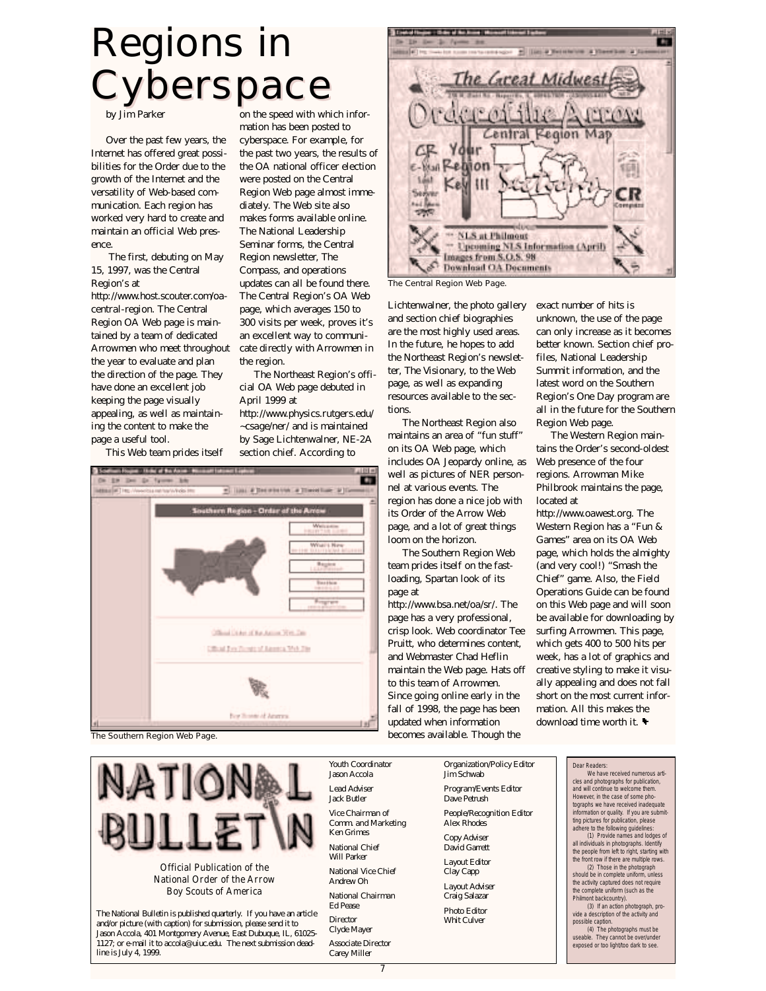# Regions in Cyberspace

by Jim Parker

Over the past few years, the Internet has offered great possibilities for the Order due to the growth of the Internet and the versatility of Web-based communication. Each region has worked very hard to create and maintain an official Web presence.

The first, debuting on May 15, 1997, was the Central Region's at

http://www.host.scouter.com/oacentral-region. The Central Region OA Web page is maintained by a team of dedicated Arrowmen who meet throughout the year to evaluate and plan the direction of the page. They have done an excellent job keeping the page visually appealing, as well as maintaining the content to make the page a useful tool.

This Web team prides itself

on the speed with which information has been posted to cyberspace. For example, for the past two years, the results of the OA national officer election were posted on the Central Region Web page almost immediately. The Web site also makes forms available online. The National Leadership Seminar forms, the Central Region newsletter, The Compass, and operations updates can all be found there. The Central Region's OA Web page, which averages 150 to 300 visits per week, proves it's an excellent way to communicate directly with Arrowmen in the region.

The Northeast Region's official OA Web page debuted in April 1999 at

http://www.physics.rutgers.edu/ ~csage/ner/ and is maintained by Sage Lichtenwalner, NE-2A section chief. According to



The Southern Region Web Page.



National Order of the Arrow Boy Scouts of America

The National Bulletin is published quarterly. If you have an article and/or picture (with caption) for submission, please send it to Jason Accola, 401 Montgomery Avenue, East Dubuque, IL, 61025- 1127; or e-mail it to accola@uiuc.edu. The next submission deadline is July 4, 1999.

Great Midwes **Lentral** Your Remon **NLS** at Philmout **Upcoming NLS Information (April)** Images from S.O.S. 98 **Download OA Documents** 

The Central Region Web Page.

Lichtenwalner, the photo gallery and section chief biographies are the most highly used areas. In the future, he hopes to add the Northeast Region's newsletter, The Visionary, to the Web page, as well as expanding resources available to the sections.

The Northeast Region also maintains an area of "fun stuff" on its OA Web page, which includes OA Jeopardy online, as well as pictures of NER personnel at various events. The region has done a nice job with its Order of the Arrow Web page, and a lot of great things loom on the horizon.

The Southern Region Web team prides itself on the fastloading, Spartan look of its page at

http://www.bsa.net/oa/sr/. The page has a very professional, crisp look. Web coordinator Tee Pruitt, who determines content, and Webmaster Chad Heflin maintain the Web page. Hats off to this team of Arrowmen. Since going online early in the fall of 1998, the page has been updated when information becomes available. Though the

exact number of hits is unknown, the use of the page can only increase as it becomes better known. Section chief profiles, National Leadership Summit information, and the latest word on the Southern Region's One Day program are all in the future for the Southern Region Web page.

The Western Region maintains the Order's second-oldest Web presence of the four regions. Arrowman Mike Philbrook maintains the page, located at

http://www.oawest.org. The Western Region has a "Fun & Games" area on its OA Web page, which holds the almighty (and very cool!) "Smash the Chief" game. Also, the Field Operations Guide can be found on this Web page and will soon be available for downloading by surfing Arrowmen. This page, which gets 400 to 500 hits per week, has a lot of graphics and creative styling to make it visually appealing and does not fall short on the most current information. All this makes the download time worth it.

Program/Events Editor Dave Petrush People/Recognition Editor Alex Rhodes Copy Adviser

David Garrett Layout Editor

Jim Schwab

Organization/Policy Editor

Clay Capp Layout Adviser

Craig Salazar Photo Editor

Whit Culver

Dear Readers: We have received numerous articles and photographs for publication, and will continue to welcome them. However, in the case of some photographs we have received inadequate information or quality. If you are submitting pictures for publication, please adhere to the following guidelines: (1) Provide names and lodges of all individuals in photographs. Identify the people from left to right, starting with the front row if there are multiple rows. (2) Those in the photograph should be in complete uniform, unless the activity captured does not require the complete uniform (such as the Philmont backcountry). (3) If an action photograph, provide a description of the activity and possible caption. (4) The photographs must be useable. They cannot be over/under exposed or too light/too dark to see.

7

Youth Coordinator Jason Accola Lead Adviser Jack Butler Vice Chairman of Comm. and Marketing Ken Grimes National Chief Will Parker National Vice Chief Andrew Oh National Chairman Ed Pease Director Clyde Mayer Associate Director Carey Miller